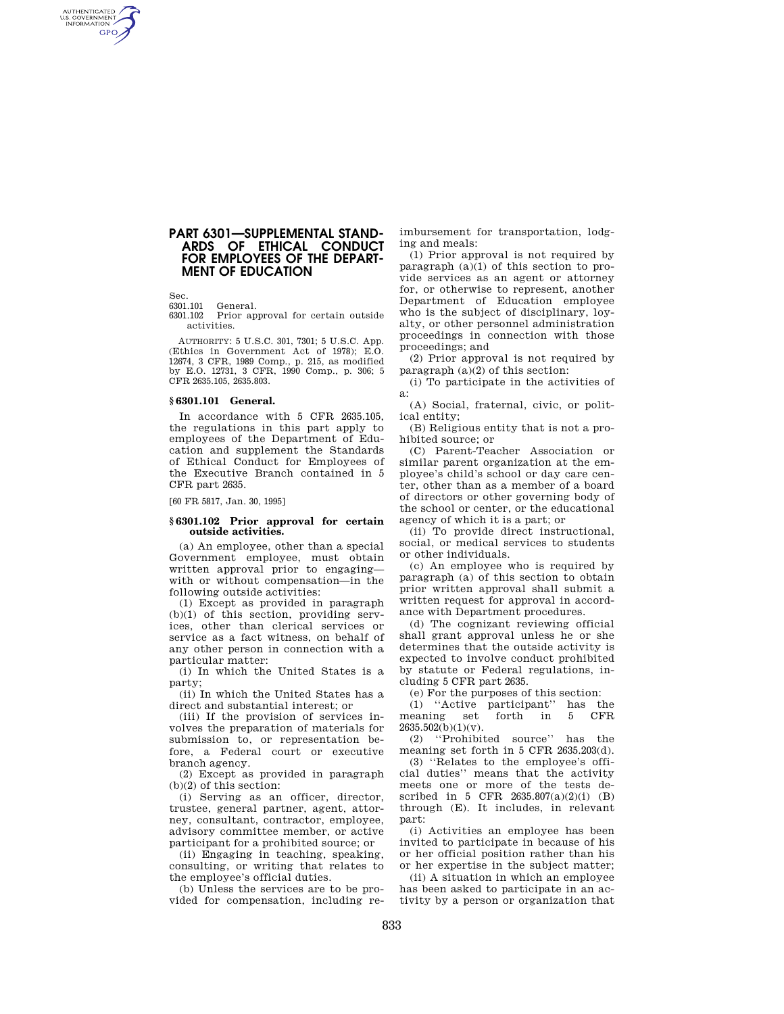# **PART 6301—SUPPLEMENTAL STAND-ARDS OF ETHICAL CONDUCT FOR EMPLOYEES OF THE DEPART-MENT OF EDUCATION**

Sec.

AUTHENTICATED<br>U.S. GOVERNMENT<br>INFORMATION **GPO** 

6301.101 General.<br>6301.102 Prior an

Prior approval for certain outside activities.

AUTHORITY: 5 U.S.C. 301, 7301; 5 U.S.C. App. (Ethics in Government Act of 1978); E.O. 12674, 3 CFR, 1989 Comp., p. 215, as modified by E.O. 12731, 3 CFR, 1990 Comp., p. 306; 5 CFR 2635.105, 2635.803.

### **§ 6301.101 General.**

In accordance with 5 CFR 2635.105, the regulations in this part apply to employees of the Department of Education and supplement the Standards of Ethical Conduct for Employees of the Executive Branch contained in 5 CFR part 2635.

[60 FR 5817, Jan. 30, 1995]

# **§ 6301.102 Prior approval for certain outside activities.**

(a) An employee, other than a special Government employee, must obtain written approval prior to engaging with or without compensation—in the following outside activities:

(1) Except as provided in paragraph (b)(1) of this section, providing services, other than clerical services or service as a fact witness, on behalf of any other person in connection with a particular matter:

(i) In which the United States is a party;

(ii) In which the United States has a direct and substantial interest; or

(iii) If the provision of services involves the preparation of materials for submission to, or representation before, a Federal court or executive branch agency.

(2) Except as provided in paragraph (b)(2) of this section:

(i) Serving as an officer, director, trustee, general partner, agent, attorney, consultant, contractor, employee, advisory committee member, or active participant for a prohibited source; or

(ii) Engaging in teaching, speaking, consulting, or writing that relates to the employee's official duties.

(b) Unless the services are to be provided for compensation, including reimbursement for transportation, lodging and meals:

(1) Prior approval is not required by paragraph  $(a)(1)$  of this section to provide services as an agent or attorney for, or otherwise to represent, another Department of Education employee who is the subject of disciplinary, loyalty, or other personnel administration proceedings in connection with those proceedings; and

(2) Prior approval is not required by paragraph  $(a)(2)$  of this section:

(i) To participate in the activities of a:

(A) Social, fraternal, civic, or political entity;

(B) Religious entity that is not a prohibited source; or

(C) Parent-Teacher Association or similar parent organization at the employee's child's school or day care center, other than as a member of a board of directors or other governing body of the school or center, or the educational agency of which it is a part; or

(ii) To provide direct instructional, social, or medical services to students or other individuals.

(c) An employee who is required by paragraph (a) of this section to obtain prior written approval shall submit a written request for approval in accordance with Department procedures.

(d) The cognizant reviewing official shall grant approval unless he or she determines that the outside activity is expected to involve conduct prohibited by statute or Federal regulations, including 5 CFR part 2635.

(e) For the purposes of this section:

(1) ''Active participant'' has the meaning set  $2635.502(b)(1)(v)$ .

(2) ''Prohibited source'' has the meaning set forth in 5 CFR 2635.203(d).

(3) ''Relates to the employee's official duties'' means that the activity meets one or more of the tests described in 5 CFR 2635.807(a)(2)(i) (B) through (E). It includes, in relevant part:

(i) Activities an employee has been invited to participate in because of his or her official position rather than his or her expertise in the subject matter;

(ii) A situation in which an employee has been asked to participate in an activity by a person or organization that